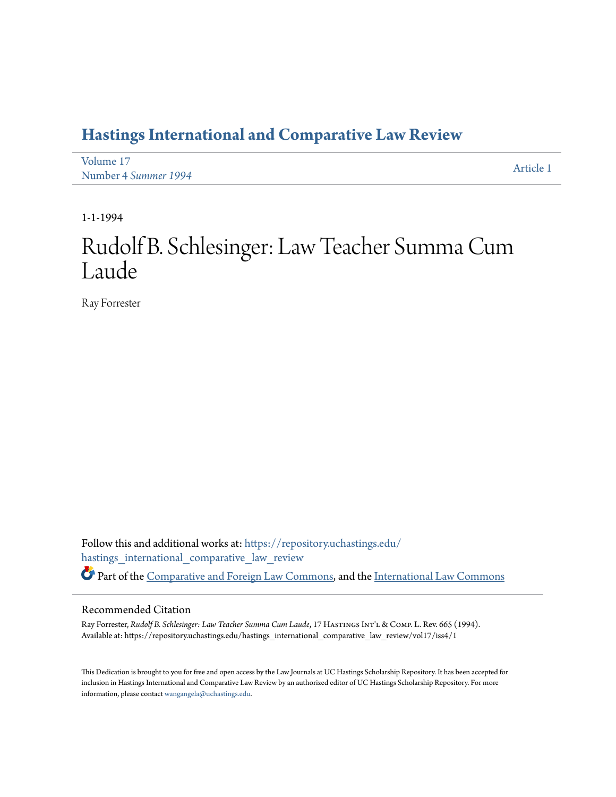## **[Hastings International and Comparative Law Review](https://repository.uchastings.edu/hastings_international_comparative_law_review?utm_source=repository.uchastings.edu%2Fhastings_international_comparative_law_review%2Fvol17%2Fiss4%2F1&utm_medium=PDF&utm_campaign=PDFCoverPages)**

| Volume 17            | Article 1 |
|----------------------|-----------|
| Number 4 Summer 1994 |           |

1-1-1994

## Rudolf B. Schlesinger: Law Teacher Summa Cum Laude

Ray Forrester

Follow this and additional works at: [https://repository.uchastings.edu/](https://repository.uchastings.edu/hastings_international_comparative_law_review?utm_source=repository.uchastings.edu%2Fhastings_international_comparative_law_review%2Fvol17%2Fiss4%2F1&utm_medium=PDF&utm_campaign=PDFCoverPages) [hastings\\_international\\_comparative\\_law\\_review](https://repository.uchastings.edu/hastings_international_comparative_law_review?utm_source=repository.uchastings.edu%2Fhastings_international_comparative_law_review%2Fvol17%2Fiss4%2F1&utm_medium=PDF&utm_campaign=PDFCoverPages) Part of the [Comparative and Foreign Law Commons](http://network.bepress.com/hgg/discipline/836?utm_source=repository.uchastings.edu%2Fhastings_international_comparative_law_review%2Fvol17%2Fiss4%2F1&utm_medium=PDF&utm_campaign=PDFCoverPages), and the [International Law Commons](http://network.bepress.com/hgg/discipline/609?utm_source=repository.uchastings.edu%2Fhastings_international_comparative_law_review%2Fvol17%2Fiss4%2F1&utm_medium=PDF&utm_campaign=PDFCoverPages)

## Recommended Citation

Ray Forrester, *Rudolf B. Schlesinger: Law Teacher Summa Cum Laude*, 17 HastingsInt'l & Comp. L. Rev. 665 (1994). Available at: https://repository.uchastings.edu/hastings\_international\_comparative\_law\_review/vol17/iss4/1

This Dedication is brought to you for free and open access by the Law Journals at UC Hastings Scholarship Repository. It has been accepted for inclusion in Hastings International and Comparative Law Review by an authorized editor of UC Hastings Scholarship Repository. For more information, please contact [wangangela@uchastings.edu](mailto:wangangela@uchastings.edu).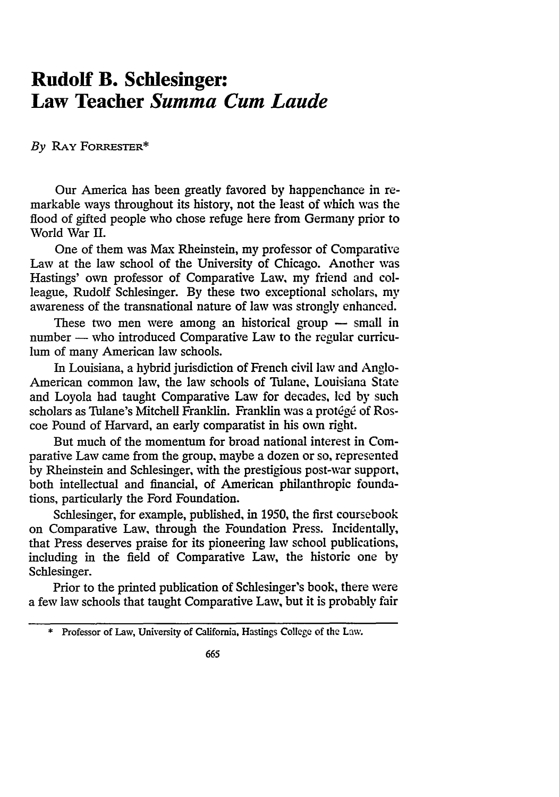## **Rudolf B. Schlesinger: Law Teacher** *Summa Cum Laude*

*By* RAY FORREsTER\*

Our America has been greatly favored by happenchance in remarkable ways throughout its history, not the least of which was the flood of gifted people who chose refuge here from Germany prior to World War **H.**

One of them was Max Rheinstein, my professor of Comparative Law at the law school of the University of Chicago. Another was Hastings' own professor of Comparative Law, my friend and colleague, Rudolf Schlesinger. **By** these two exceptional scholars, my awareness of the transnational nature of law was strongly enhanced.

These two men were among an historical group  $-$  small in number - who introduced Comparative Law to the regular curriculum of many American law schools.

In Louisiana, a hybrid jurisdiction of French civil law and Anglo-American common law, the law schools of Tulane, Louisiana State and Loyola had taught Comparative Law for decades, led **by** such scholars as Tulane's Mitchell Franklin. Franklin was a protégé of Roscoe Pound of Harvard, an early comparatist in his own right.

But much of the momentum for broad national interest in Comparative Law came from the group, maybe a dozen or so, represented **by** Rheinstein and Schlesinger, with the prestigious post-war support, both intellectual and financial, of American philanthropic foundations, particularly the Ford Foundation.

Schlesinger, for example, published, in 1950, the first coursebook on Comparative Law, through the Foundation Press. Incidentally, that Press deserves praise for its pioneering law school publications, including in the field of Comparative Law, the historic one by Schlesinger.

Prior to the printed publication of Schlesinger's book, there were a few law schools that taught Comparative Law, but it is probably fair

**<sup>\*</sup>** Professor of Law, University of California, Hastings College of the Law.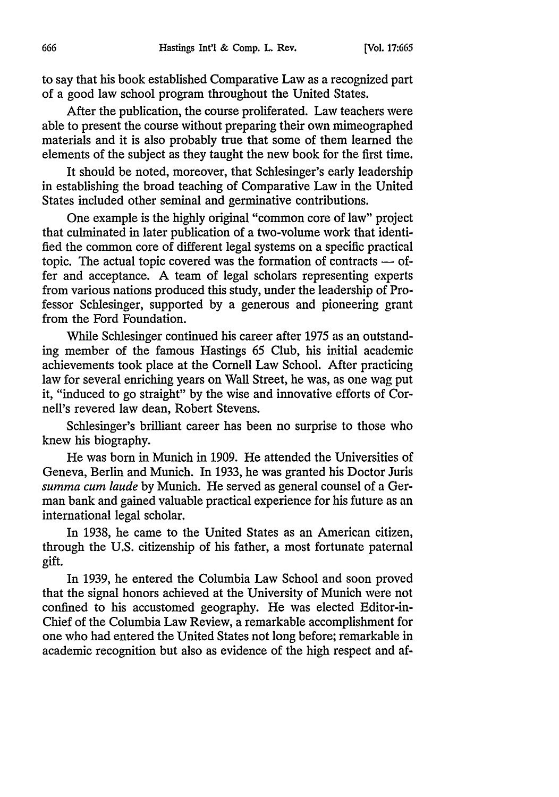to say that his book established Comparative Law as a recognized part of a good law school program throughout the United States.

After the publication, the course proliferated. Law teachers were able to present the course without preparing their own mimeographed materials and it is also probably true that some of them learned the elements of the subject as they taught the new book for the first time.

It should be noted, moreover, that Schlesinger's early leadership in establishing the broad teaching of Comparative Law in the United States included other seminal and germinative contributions.

One example is the highly original "common core of law" project that culminated in later publication of a two-volume work that identified the common core of different legal systems on a specific practical topic. The actual topic covered was the formation of contracts  $-$  offer and acceptance. A team of legal scholars representing experts from various nations produced this study, under the leadership of Professor Schlesinger, supported by a generous and pioneering grant from the Ford Foundation.

While Schlesinger continued his career after 1975 as an outstanding member of the famous Hastings 65 Club, his initial academic achievements took place at the Cornell Law School. After practicing law for several enriching years on Wall Street, he was, as one wag put it, "induced to go straight" by the wise and innovative efforts of Cornell's revered law dean, Robert Stevens.

Schlesinger's brilliant career has been no surprise to those who knew his biography.

He was born in Munich in 1909. He attended the Universities of Geneva, Berlin and Munich. In 1933, he was granted his Doctor Juris *summa cum laude* by Munich. He served as general counsel of a German bank and gained valuable practical experience for his future as an international legal scholar.

In 1938, he came to the United States as an American citizen, through the U.S. citizenship of his father, a most fortunate paternal gift.

In 1939, he entered the Columbia Law School and soon proved that the signal honors achieved at the University of Munich were not confined to his accustomed geography. He was elected Editor-in-Chief of the Columbia Law Review, a remarkable accomplishment for one who had entered the United States not long before; remarkable in academic recognition but also as evidence of the high respect and af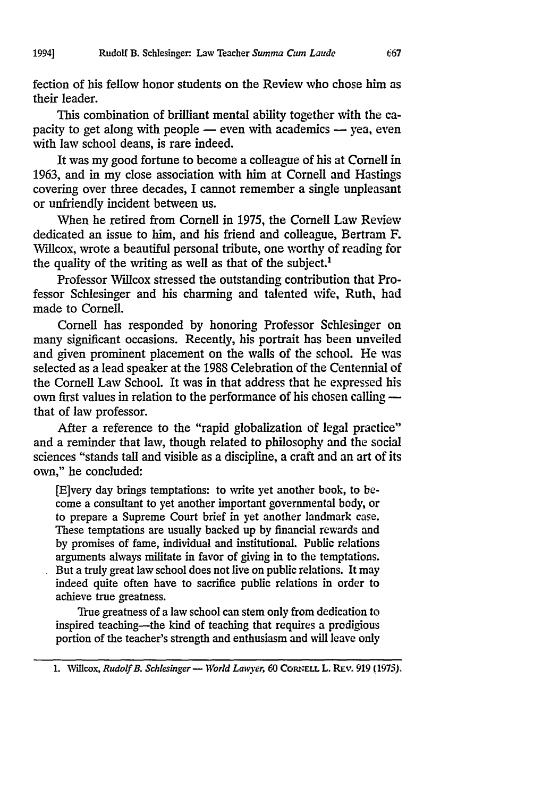fection of his fellow honor students on the Review who chose him as their leader.

This combination of brilliant mental ability together with the capacity to get along with people – even with academics – yea, even with law school deans, is rare indeed.

It was my good fortune to become a colleague of his at Cornell in 1963, and in my close association with him at Cornell and Hastings covering over three decades, I cannot remember a single unpleasant or unfriendly incident between us.

When he retired from Cornell in 1975, the Cornell Law Review dedicated an issue to him, and his friend and colleague, Bertram F. Willcox, wrote a beautiful personal tribute, one worthy of reading for the quality of the writing as well as that of the subject.<sup>1</sup>

Professor Willcox stressed the outstanding contribution that Professor Schlesinger and his charming and talented wife, Ruth, had made to Cornell.

Cornell has responded by honoring Professor Schlesinger on many significant occasions. Recently, his portrait has been unveiled and given prominent placement on the walls of the school. He was selected as a lead speaker at the **1988** Celebration of the Centennial of the Cornell Law School. It was in that address that he expressed his own first values in relation to the performance of his chosen calling that of law professor.

After a reference to the "rapid globalization of legal practice" and a reminder that law, though related to philosophy and the social sciences "stands tall and visible as a discipline, a craft and an art of its own," he concluded:

[E]very day brings temptations: to write yet another book, to become a consultant to yet another important governmental body, or to prepare a Supreme Court brief in yet another landmark case. These temptations are usually backed up by financial rewards and by promises of fame, individual and institutional. Public relations arguments always militate in favor of giving in to the temptations. But a truly great law school does not live on public relations. It may indeed quite often have to sacrifice public relations in order to achieve true greatness.

True greatness of a law school can stem only from dedication to inspired teaching-the kind of teaching that requires a prodigious portion of the teacher's strength and enthusiasm and will leave only

1. Willcox, *Rudolf B. Schlesinger* - *World Lawyer*, 60 CORNELL L. REV. 919 (1975).